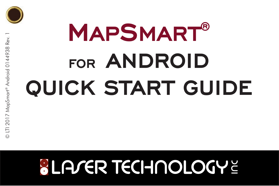

# **MAPSMART® FOR ANDROID QUICK START GUIDE**

## **SLA/ER TECHNOLOGYE**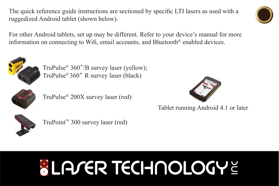The quick reference guide instructions are sectioned by specific LTI lasers as used with a ruggedized Android tablet (shown below).

For other Android tablets, set up may be different. Refer to your device's manual for more information on connecting to Wifi, email accounts, and Bluetooth<sup>®</sup> enabled devices.



TruPulse® 360˚/B survey laser (yellow); TruPulse® 360˚ R survey laser (black)



TruPulse® 200X survey laser (red)



Tablet running Android 4.1 or later



TruPoint™ 300 survey laser (red)

# **SLA/ER TECHNOLOGYE**

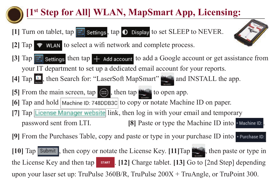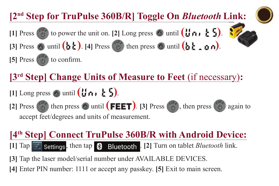**[3rd Step] Change Units of Measure to Feet** (if necessary)**:**  $[1]$  Long press  $\otimes$  until  $($  $\uparrow$  $\uparrow$  $\uparrow$  $\uparrow$  $\uparrow$  $\uparrow$  $\uparrow$  $\uparrow$  $[2]$  Press  $\begin{pmatrix} 0 & 0 \\ 0 & 0 \end{pmatrix}$  then press  $\begin{pmatrix} 0 & 0 \\ 0 & 0 \end{pmatrix}$  then press  $\begin{pmatrix} 0 & 0 \\ 0 & 0 \end{pmatrix}$  again to accept feet/degrees and units of measurement. **[1]** Press  $\begin{pmatrix} 0 & 0 \\ 0 & 0 \end{pmatrix}$  to power the unit on. **[2]** Long press  $\begin{pmatrix} 0 & 0 \\ 0 & 0 \end{pmatrix}$  **( )**  $\begin{pmatrix} 1 & 0 \\ 0 & 1 \end{pmatrix}$  **( ) ) ( )**  $[3]$  Press  $\odot$  until  $(b \cdot b)$ .  $[4]$  Press  $\odot$  then press  $\odot$  until  $(b \cdot b \cdot a \cdot n)$ .  $[5]$  Press  $\begin{pmatrix} 0 & b \\ c & d \end{pmatrix}$  to confirm. **[2nd Step for TruPulse 360B/R] Toggle On** *Bluetooth* **Link:**

#### **[4th Step] Connect TruPulse 360B/R with Android Device:**

**[1] Tap : settings, then tap 8 Bluetooth . [2] Turn on tablet** *Bluetooth link.* 

**[3]** Tap the laser model/serial number under AVAILABLE DEVICES.

**[4]** Enter PIN number: 1111 or accept any passkey. **[5]** Exit to main screen.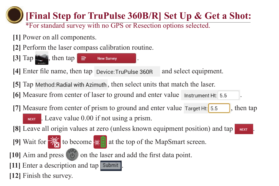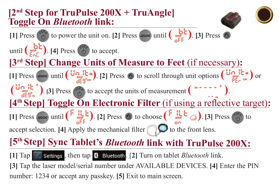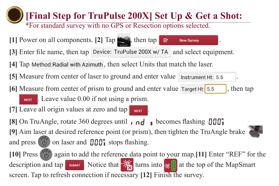#### **[Final Step for TruPulse 200X] Set Up & Get a Shot:** \*For standard survey with no GPS or Resection options selected.**[1]** Power on all components. **[2]**  $\text{Tap}$  **Manuform**, then  $\tan \theta$  **E** New Survey [3] Enter file name, then tap Device: TruPulse 200X w/ TA and select equipment. [4] Tap Method: Radial with Azimuth, then select Units that match the laser. **[5]** Measure from center of laser to ground and enter value Instrument Ht: 5.5 **[6]** Measure from center of prism to ground and enter value  $\tau_{\text{target Ht}}$  [5.5], then tap . Leave value 0.00 if not using a prism. **NEXT [7]** Leave all origin values at zero and tap . **[8]** On TruAngle, rotate 360 degrees until **p p** becomes flashing **000**° **[9]** Aim laser at desired reference point (or prism), then tighten the TruAngle brake and press  $\left( \begin{array}{c} 1 \end{array} \right)$  on laser and  $\prod_{i=1}^{n}$  stops flashing. **[10]** Press again to add the reference data point to your map.**[11]** Enter "REF" for the description and tap  $\Box$  Notice that  $\frac{1}{\sqrt{2}}$  turns into  $\frac{1}{\sqrt{2}}$  at the top of the MapSmart screen. Tap to refresh connection if necessary **[12]** Finish the survey.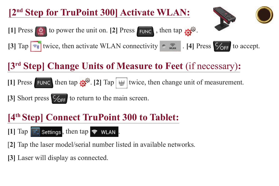#### **[2nd Step for TruPoint 300] Activate WLAN:**



**[1] Press**  $\phi$  to power the unit on. **[2] Press FUNC**, then tap  $\phi^{\phi}$ . **[3]** Tap  $\boxed{\ast}$  twice, then activate WLAN connectivity  $\boxed{\ast}$  . [4] Press  $\boxed{\ast}$  to accept.

### **[3rd Step] Change Units of Measure to Feet** (if necessary)**:**

**[1] Press FUNC then tap**  $\mathbf{C}^{\mathcal{Q}}$ **.** [2]  $\text{Tap}$  twice, then change unit of measurement.

[3] Short press  $\frac{C}{\sqrt{CF}}$  to return to the main screen.

#### **[4th Step] Connect TruPoint 300 to Tablet:**

 $[1]$   $\text{Tap}$   $\rightarrow$  settings, then tap  $\rightarrow$  WLAN.

[**2]** Tap the laser model/serial number listed in available networks.

**[3]** Laser will display as connected.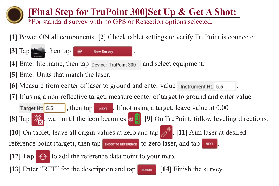### **[Final Step for TruPoint 300]Set Up & Get A Shot:**

\*For standard survey with no GPS or Resection options selected.

**[1]** Power ON all components. **[2]** Check tablet settings to verify TruPoint is connected.

 $[3]$  Tap  $\lim_{n \to \infty}$ , then tap  $\Rightarrow$  New Survey **[4]** Enter file name, then tap pevice: Trupoint 300 and select equipment. **[5]** Enter Units that match the laser. **[6]** Measure from center of laser to ground and enter value *Instrument Ht.* 5.5 [7] If using a non-reflective target, measure center of target to ground and enter value Target Ht:  $\boxed{5.5}$ , then tap  $\boxed{\phantom{0}$  NEXT . If not using a target, leave value at 0.00 **[8] Tap**  $\frac{1}{\sqrt{2}}$ , wait until the icon becomes  $\frac{1}{\sqrt{2}}$ . [9] On TruPoint, follow leveling directions. **[10]** On tablet, leave all origin values at zero and tap  $\overrightarrow{A}$ . **[11]** Aim laser at desired reference point (target), then tap SHOOT TO REFERENCE to zero laser, and tap NEXT.

**[12] Tap**  $\bigoplus$  **to add the reference data point to your map.** 

**[13]** Enter "REF" for the description and tap substitution I. [14] Finish the survey.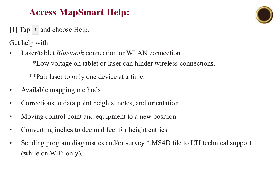#### **Access MapSmart Help:**

[1] Tap  $\cdot$  and choose Help.

Get help with:

• Laser/tablet *Bluetooth* connection or WLAN connection

\*Low voltage on tablet or laser can hinder wireless connections.

\*\*Pair laser to only one device at a time.

- Available mapping methods
- Corrections to data point heights, notes, and orientation
- Moving control point and equipment to a new position
- Converting inches to decimal feet for height entries
- Sending program diagnostics and/or survey \*.MS4D file to LTI technical support (while on WiFi only).

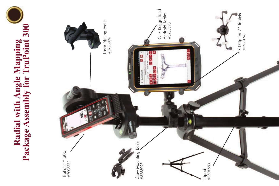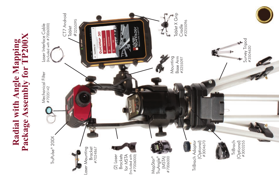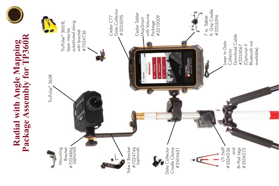